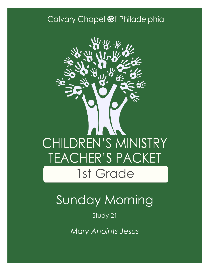### Calvary Chapel @f Philadelphia



# Sunday Morning

### Study 21

*Mary Anoints Jesus*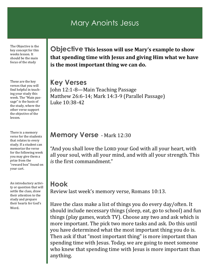### Mary Anoints Jesus

The Objective is the key concept for this weeks lesson. It should be the main focus of the study

These are the key verses that you will find helpful in teaching your study this week. The "Main passage" is the basis of the study, where the other verse support the objective of the lesson.

There is a memory verse for the students that relates to every study. If a student can memorize the verse for the following week you may give them a prize from the "reward box" found on your cart.

An introductory activity or question that will settle the class, draw their attention to the study and prepare their hearts for God's Word.

**Objective This lesson will use Mary's example to show that spending time with Jesus and giving Him what we have is the most important thing we can do.**

**Key Verses** John 12:1-8—Main Teaching Passage Matthew 26:6-14; Mark 14:3-9 (Parallel Passage) Luke 10:38-42

#### **Memory Verse** - Mark 12:30

"And you shall love the LORD your God with all your heart, with all your soul, with all your mind, and with all your strength. This *is* the first commandment."

### **Hook**

Review last week's memory verse, Romans 10:13.

Have the class make a list of things you do every day/often. It should include necessary things (sleep, eat, go to school) and fun things (play games, watch TV). Choose any two and ask which is more important. The pick two more tasks and ask. Do this until you have determined what the most important thing you do is. Then ask if that "most important thing" is more important than spending time with Jesus. Today, we are going to meet someone who knew that spending time with Jesus is more important than anything.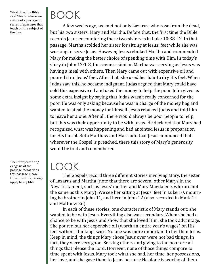What does the Bible say? This is where we will read a passage or series of passages that teach on the subject of the day.

BOOK

A few weeks ago, we met not only Lazarus, who rose from the dead, but his two sisters, Mary and Martha. Before that, the first time the Bible records Jesus encountering these two sisters is in Luke 10:38-42. In that passage, Martha scolded her sister for sitting at Jesus' feet while she was working to serve Jesus. However, Jesus rebuked Martha and commended Mary for making the better choice of spending time with Him. In today's story in John 12:1-8, the scene is similar. Martha was serving as Jesus was having a meal with others. Then Mary came out with expensive oil and poured it on Jesus' feet. After that, she used her hair to dry His feet. When Judas saw this, he became indignant. Judas argued that Mary could have sold this expensive oil and used the money to help the poor. John gives us some extra insight by saying that Judas wasn't really concerned for the poor. He was only asking because he was in charge of the money bag and wanted to steal the money for himself. Jesus rebuked Judas and told him to leave her alone. After all, there would always be poor people to help, but this was their opportunity to be with Jesus. He declared that Mary had recognized what was happening and had anointed Jesus in preparation for His burial. Both Matthew and Mark add that Jesus announced that wherever the Gospel is preached, there this story of Mary's generosity would be told and remembered.

## LOOK

The Gospels record three different stories involving Mary, the sister of Lazarus and Martha (note that there are several other Marys in the New Testament, such as Jesus' mother and Mary Magdalene, who are not the same as this Mary). We see her sitting at Jesus' feet in Luke 10, mourning he brother in John 11, and here in John 12 (also recorded in Mark 14 and Matthew 26).

In each of these stories, one characteristic of Mary stands out: she wanted to be with Jesus. Everything else was secondary. When she had a chance to be with Jesus and show that she loved Him, she took advantage. She poured out her expensive oil (worth an entire year's wages) on His feet without thinking twice. No one was more important to her than Jesus. Keep in mind, the things Mary chose Jesus over were not bad things. In fact, they were very good. Serving others and giving to the poor are all things that please the Lord. However, none of those things compare to time spent with Jesus. Mary took what she had, her time, her possessions, her love, and she gave them to Jesus because He alone is worthy of them.

The interpretation/ exegesis of the passage. What does this passage mean? How does this passage apply to my life?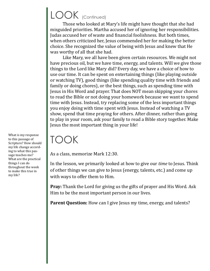## LOOK (Continued)

Those who looked at Mary's life might have thought that she had misguided priorities. Martha accused her of ignoring her responsibilities. Judas accused her of waste and financial foolishness. But both times, when others criticized her, Jesus commended her for making the better choice. She recognized the value of being with Jesus and knew that He was worthy of all that she had.

Like Mary, we all have been given certain resources. We might not have precious oil, but we have time, energy, and talents. Will we give those things to the Lord like Mary did? Every day, we have a choice of how to use our time. It can be spent on entertaining things (like playing outside or watching TV), good things (like spending quality time with friends and family or doing chores), or the best things, such as spending time with Jesus in His Word and prayer. That does NOT mean skipping your chores to read the Bible or not doing your homework because we want to spend time with Jesus. Instead, try replacing some of the less important things you enjoy doing with time spent with Jesus. Instead of watching a TV show, spend that time praying for others. After dinner, rather than going to play in your room, ask your family to read a Bible story together. Make Jesus the most important thing in your life!

TOOK As a class, memorize Mark 12:30. What is my response

> In the lesson, we primarily looked at how to give our *time* to Jesus. Think of other things we can give to Jesus (energy, talents, etc.) and come up with ways to offer them to Him.

**Pray:** Thank the Lord for giving us the gifts of prayer and His Word. Ask Him to be the most important person in our lives.

**Parent Question:** How can I give Jesus my time, energy, and talents?

to this passage of Scripture? How should my life change according to what this passage teaches me? What are the practical things I can do throughout the week to make this true in my life?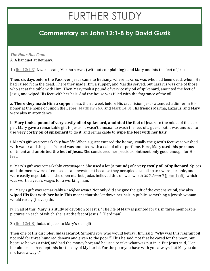## FURTHER STUDY

### **Commentary on John 12:1-8 by David Guzik**

#### *The Hour Has Come*

A. A banquet at Bethany.

1. [\(Jhn 12:1](https://www.blueletterbible.org/kjv/john/12/1-3/s_1009001)-3) Lazarus eats, Martha serves (without complaining), and Mary anoints the feet of Jesus.

Then, six days before the Passover, Jesus came to Bethany, where Lazarus was who had been dead, whom He had raised from the dead. There they made Him a supper; and Martha served, but Lazarus was one of those who sat at the table with Him. Then Mary took a pound of very costly oil of spikenard, anointed the feet of Jesus, and wiped His feet with her hair. And the house was filled with the fragrance of the oil.

a. **There they made Him a supper**: Less than a week before His crucifixion, Jesus attended a dinner in His honor at the home of Simon the Leper ([Matthew 26:6](https://www.blueletterbible.org/kjv/matthew/26/6/s_955006) and [Mark 14:3\)](https://www.blueletterbible.org/kjv/mark/14/3/s_971003). His friends Martha, Lazarus, and Mary were also in attendance.

b. **Mary took a pound of very costly oil of spikenard, anointed the feet of Jesus**: In the midst of the supper, Mary gave a remarkable gift to Jesus. It wasn't unusual to wash the feet of a guest, but it was unusual to use **very costly oil of spikenard** to do it, and remarkable to **wipe the feet with her hair**.

i. Mary's gift was remarkably *humble*. When a guest entered the home, usually the guest's feet were washed with water and the guest's head was anointed with a dab of oil or perfume. Here, Mary used this precious ointment and **anointed the feet of Jesus**. She considered her precious ointment only good enough for His feet.

ii. Mary's gift was remarkably *extravagant*. She used a lot (**a pound**) of a **very costly oil of spikenard**. Spices and ointments were often used as an investment because they occupied a small space, were portable, and were easily negotiable in the open market. Judas believed this oil was worth *300 denarii* [\(John 12:5\),](https://www.blueletterbible.org/kjv/john/12/5/s_1009005) which was worth a year's wages for a working man.

iii. Mary's gift was remarkably *unselfconscious*. Not only did she give the gift of the expensive oil, she also **wiped His feet with her hair**. This means that she let down her hair in public, something a Jewish woman would rarely (if ever) do.

iv. In all of this, Mary is a study of devotion to Jesus. "The life of Mary is painted for us, in three memorable pictures, in each of which she is at the feet of Jesus. " (Eerdman)

2. ( $\lfloor \ln n \ 12:4-8 \rfloor$ ) Judas objects to Mary's rich gift.

Then one of His disciples, Judas Iscariot, Simon's *son,* who would betray Him, said, "Why was this fragrant oil not sold for three hundred denarii and given to the poor?" This he said, not that he cared for the poor, but because he was a thief, and had the money box; and he used to take what was put in it. But Jesus said, "Let her alone; she has kept this for the day of My burial. For the poor you have with you always, but Me you do not have always."